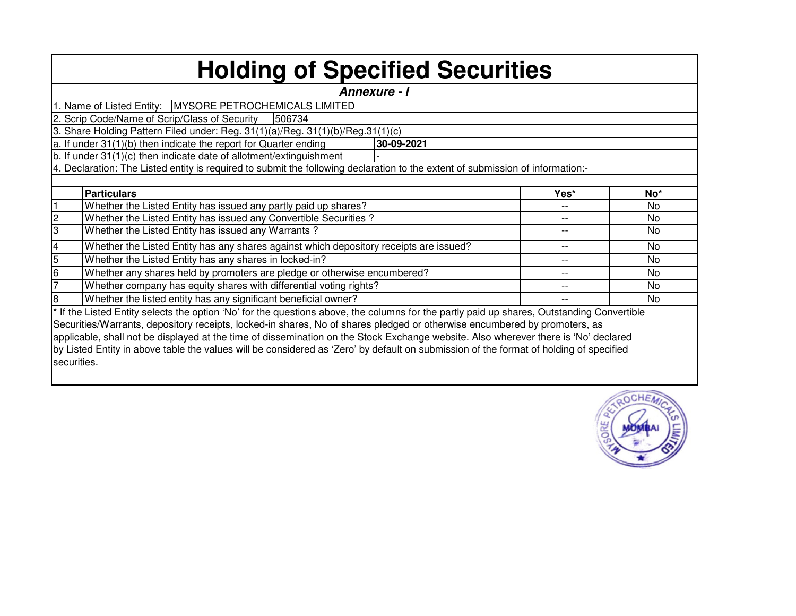| <b>Holding of Specified Securities</b> |                                                                                                                                            |       |                |  |  |  |  |  |  |  |  |  |  |
|----------------------------------------|--------------------------------------------------------------------------------------------------------------------------------------------|-------|----------------|--|--|--|--|--|--|--|--|--|--|
|                                        | <b>Annexure - I</b>                                                                                                                        |       |                |  |  |  |  |  |  |  |  |  |  |
|                                        | 1. Name of Listed Entity:   MYSORE PETROCHEMICALS LIMITED                                                                                  |       |                |  |  |  |  |  |  |  |  |  |  |
|                                        | 2. Scrip Code/Name of Scrip/Class of Security<br>1506734                                                                                   |       |                |  |  |  |  |  |  |  |  |  |  |
|                                        | 3. Share Holding Pattern Filed under: Reg. 31(1)(a)/Reg. 31(1)(b)/Reg.31(1)(c)                                                             |       |                |  |  |  |  |  |  |  |  |  |  |
|                                        | a. If under 31(1)(b) then indicate the report for Quarter ending<br>30-09-2021                                                             |       |                |  |  |  |  |  |  |  |  |  |  |
|                                        | b. If under 31(1)(c) then indicate date of allotment/extinguishment                                                                        |       |                |  |  |  |  |  |  |  |  |  |  |
|                                        | 4. Declaration: The Listed entity is required to submit the following declaration to the extent of submission of information:-             |       |                |  |  |  |  |  |  |  |  |  |  |
|                                        |                                                                                                                                            |       |                |  |  |  |  |  |  |  |  |  |  |
|                                        | <b>Particulars</b>                                                                                                                         | Yes*  | $No*$          |  |  |  |  |  |  |  |  |  |  |
|                                        | Whether the Listed Entity has issued any partly paid up shares?                                                                            |       | <b>No</b>      |  |  |  |  |  |  |  |  |  |  |
| $\overline{c}$                         | Whether the Listed Entity has issued any Convertible Securities?                                                                           |       | <b>No</b>      |  |  |  |  |  |  |  |  |  |  |
| 3                                      | Whether the Listed Entity has issued any Warrants?                                                                                         |       | No.            |  |  |  |  |  |  |  |  |  |  |
| 4                                      | Whether the Listed Entity has any shares against which depository receipts are issued?                                                     | $-1$  | N <sub>0</sub> |  |  |  |  |  |  |  |  |  |  |
| 5                                      | Whether the Listed Entity has any shares in locked-in?                                                                                     | $- -$ | N <sub>0</sub> |  |  |  |  |  |  |  |  |  |  |
| 6                                      | Whether any shares held by promoters are pledge or otherwise encumbered?                                                                   | $- -$ | <b>No</b>      |  |  |  |  |  |  |  |  |  |  |
|                                        | Whether company has equity shares with differential voting rights?                                                                         | $- -$ | <b>No</b>      |  |  |  |  |  |  |  |  |  |  |
| 8                                      | Whether the listed entity has any significant beneficial owner?                                                                            |       | N <sub>0</sub> |  |  |  |  |  |  |  |  |  |  |
|                                        | * If the Listed Entity selects the option 'No' for the questions above, the columns for the partly paid up shares, Outstanding Convertible |       |                |  |  |  |  |  |  |  |  |  |  |
|                                        | Securities/Warrants, depository receipts, locked-in shares, No of shares pledged or otherwise encumbered by promoters, as                  |       |                |  |  |  |  |  |  |  |  |  |  |
|                                        | applicable, shall not be displayed at the time of dissemination on the Stock Exchange website. Also wherever there is 'No' declared        |       |                |  |  |  |  |  |  |  |  |  |  |
|                                        | by Listed Entity in above table the values will be considered as 'Zero' by default on submission of the format of holding of specified     |       |                |  |  |  |  |  |  |  |  |  |  |
| securities.                            |                                                                                                                                            |       |                |  |  |  |  |  |  |  |  |  |  |
|                                        |                                                                                                                                            |       |                |  |  |  |  |  |  |  |  |  |  |

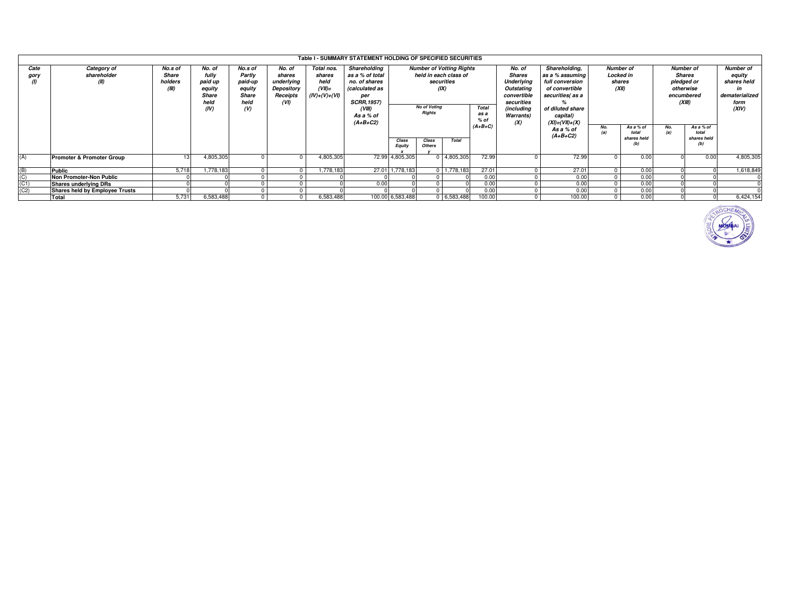|                | Table I - SUMMARY STATEMENT HOLDING OF SPECIFIED SECURITIES |                                      |                                                               |                                                                |                                                                  |                                                              |                                                                                                           |                                                                                                                |  |                             |                  |                                                             |            |                                          |      |                                                                                                                                                                                                                       |      |                                                                                                     |  |                                                                                      |  |                                                                              |
|----------------|-------------------------------------------------------------|--------------------------------------|---------------------------------------------------------------|----------------------------------------------------------------|------------------------------------------------------------------|--------------------------------------------------------------|-----------------------------------------------------------------------------------------------------------|----------------------------------------------------------------------------------------------------------------|--|-----------------------------|------------------|-------------------------------------------------------------|------------|------------------------------------------|------|-----------------------------------------------------------------------------------------------------------------------------------------------------------------------------------------------------------------------|------|-----------------------------------------------------------------------------------------------------|--|--------------------------------------------------------------------------------------|--|------------------------------------------------------------------------------|
| Cate<br>gory   | Category of<br>shareholder<br>(II)                          | No.s of<br>Share<br>holders<br>(III) | No. of<br>fully<br>paid up<br>equity<br>Share<br>held<br>(IV) | No.s of<br>Partly<br>paid-up<br>equity<br>Share<br>held<br>(V) | No. of<br>shares<br>underlying<br>Depository<br>Receipts<br>(VI) | Total nos.<br>shares<br>held<br>$(VII)$ =<br>$(IV)+(V)+(VI)$ | Shareholding<br>as a % of total<br>no. of shares<br>(calculated as<br>per<br><b>SCRR, 1957)</b><br>(VIII) | <b>Number of Votting Rights</b><br>held in each class of<br>securities<br>(IX)<br>No of Voting<br><b>Total</b> |  |                             |                  |                                                             |            |                                          |      | Shareholding.<br>No. of<br><b>Shares</b><br>as a % assuming<br><b>Underlying</b><br>full conversion<br>Outstating<br>of convertible<br>convertible<br>securities(as a<br>securities<br>(including<br>of diluted share |      | <b>Number of</b><br>Locked in<br>shares<br>(XII)<br>As a % of<br>No.<br>total<br>shares held<br>(b) |  | <b>Number of</b><br><b>Shares</b><br>pledged or<br>otherwise<br>encumbered<br>(XIII) |  | <b>Number of</b><br>equity<br>shares held<br>dematerialized<br>form<br>(XIV) |
|                |                                                             |                                      |                                                               |                                                                |                                                                  |                                                              | As a % of<br>$(A+B+C2)$                                                                                   | <b>Rights</b><br>Class<br>Total<br>Class<br><b>Others</b><br><b>Equity</b>                                     |  | as a<br>$%$ of<br>$(A+B+C)$ | Warrants)<br>(X) | capital)<br>$(XI) = (VII) + (X)$<br>As a % of<br>$(A+B+C2)$ | No.<br>(a) | As a % of<br>total<br>shares held<br>(b) |      |                                                                                                                                                                                                                       |      |                                                                                                     |  |                                                                                      |  |                                                                              |
| (A)            | <b>Promoter &amp; Promoter Group</b>                        |                                      | 4,805,305                                                     |                                                                | $\Omega$                                                         | 4,805,305                                                    |                                                                                                           | 72.99 4,805,305                                                                                                |  | $0$ 4,805,305               | 72.99            |                                                             | 72.99      |                                          | 0.00 |                                                                                                                                                                                                                       | 0.00 | 4,805,305                                                                                           |  |                                                                                      |  |                                                                              |
| (B)            | <b>Public</b>                                               | 5.718                                | 1,778,183                                                     |                                                                |                                                                  | 1,778,183                                                    | 27.01                                                                                                     | 1,778,183                                                                                                      |  | $0$ 1,778,183               | 27.01            |                                                             | 27.01      | $\Omega$                                 | 0.00 |                                                                                                                                                                                                                       |      | 1,618,849                                                                                           |  |                                                                                      |  |                                                                              |
| $\overline{C}$ | Non Promoter-Non Public                                     |                                      |                                                               |                                                                |                                                                  |                                                              |                                                                                                           |                                                                                                                |  |                             | 0.00             |                                                             | 0.00       | $\Omega$                                 | 0.00 |                                                                                                                                                                                                                       |      |                                                                                                     |  |                                                                                      |  |                                                                              |
| (C1)           | <b>Shares underlying DRs</b>                                |                                      |                                                               |                                                                |                                                                  |                                                              | 0.00                                                                                                      |                                                                                                                |  |                             | 0.00             |                                                             | 0.00       | $\Omega$                                 | 0.00 |                                                                                                                                                                                                                       |      |                                                                                                     |  |                                                                                      |  |                                                                              |
| (C2)           | Shares held by Employee Trusts                              |                                      |                                                               |                                                                |                                                                  |                                                              |                                                                                                           |                                                                                                                |  |                             | 0.00             |                                                             | 0.00       | $\Omega$                                 | 0.00 |                                                                                                                                                                                                                       |      |                                                                                                     |  |                                                                                      |  |                                                                              |
|                | Total                                                       | 5.731                                | 6,583,488                                                     |                                                                | $\Omega$                                                         | 6,583,488                                                    |                                                                                                           | 100.00 6,583,488                                                                                               |  | 0 6,583,488                 | 100.00           |                                                             | 100.00     | $\Omega$                                 | 0.00 |                                                                                                                                                                                                                       |      | 6,424,154                                                                                           |  |                                                                                      |  |                                                                              |

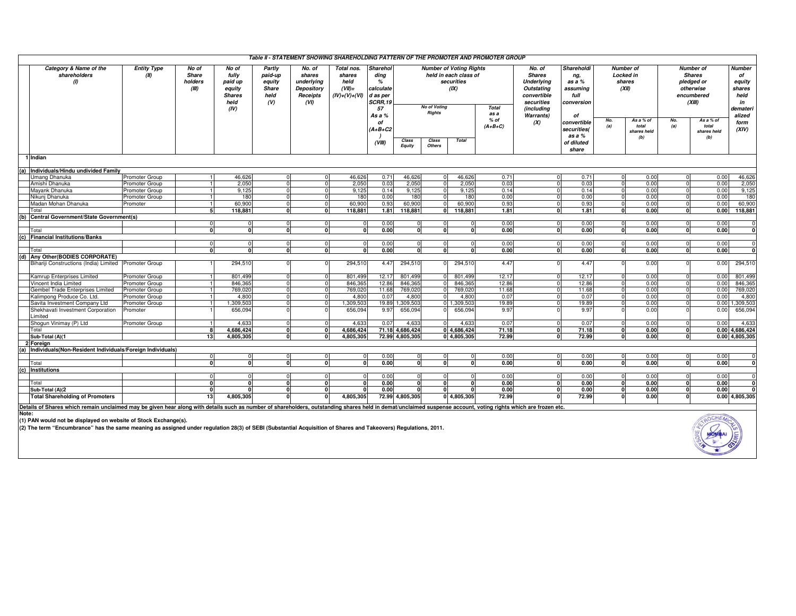|                                                                                                                                                                                                                |                            |                                           |                                                                      |                                                            |                                                                  |                                                             |                                                                                         |                 |                                                                                                                       |              | Table II - STATEMENT SHOWING SHAREHOLDING PATTERN OF THE PROMOTER AND PROMOTER GROUP |                                                                                                                    |                                                                     |                                                         |                                          |                                                                                      |                                          |                                                                             |
|----------------------------------------------------------------------------------------------------------------------------------------------------------------------------------------------------------------|----------------------------|-------------------------------------------|----------------------------------------------------------------------|------------------------------------------------------------|------------------------------------------------------------------|-------------------------------------------------------------|-----------------------------------------------------------------------------------------|-----------------|-----------------------------------------------------------------------------------------------------------------------|--------------|--------------------------------------------------------------------------------------|--------------------------------------------------------------------------------------------------------------------|---------------------------------------------------------------------|---------------------------------------------------------|------------------------------------------|--------------------------------------------------------------------------------------|------------------------------------------|-----------------------------------------------------------------------------|
| Category & Name of the<br>shareholders<br>$\omega$                                                                                                                                                             | <b>Entity Type</b><br>(II) | No of<br><b>Share</b><br>holders<br>(III) | No of<br>fully<br>paid up<br>equity<br><b>Shares</b><br>held<br>(IV) | Partly<br>paid-up<br>equity<br><b>Share</b><br>held<br>(V) | No. of<br>shares<br>underlying<br>Depository<br>Receipts<br>(VI) | Total nos.<br>shares<br>held<br>$(VII)=$<br>$(IV)+(V)+(VI)$ | <b>Sharehol</b><br>ding<br>%<br>calculate<br>d as per<br><b>SCRR.19</b><br>57<br>As a % |                 | <b>Number of Voting Rights</b><br>held in each class of<br>securities<br>(IX)<br><b>No of Votina</b><br><b>Rights</b> |              | <b>Total</b><br>as a                                                                 | No. of<br><b>Shares</b><br><b>Underlying</b><br>Outstating<br>convertible<br>securities<br>(including<br>Warrants) | Shareholdi<br>ng,<br>as a %<br>assuminq<br>full<br>conversion<br>of | <b>Number of</b><br><b>Locked in</b><br>shares<br>(XII) |                                          | <b>Number of</b><br><b>Shares</b><br>pledged or<br>otherwise<br>encumbered<br>(XIII) |                                          | <b>Number</b><br>of<br>equity<br>shares<br>held<br>in<br>demateri<br>alized |
|                                                                                                                                                                                                                |                            |                                           |                                                                      |                                                            |                                                                  |                                                             | of<br>$(A+B+C2$<br>(VIII)                                                               | Class<br>Equity | Class<br><b>Others</b>                                                                                                | <b>Total</b> | % of<br>$(A+B+C)$                                                                    | (X)                                                                                                                | convertible<br>securities(<br>as a %<br>of diluted<br>share         | No.<br>(a)                                              | As a % of<br>total<br>shares held<br>(b) | No.<br>(a)                                                                           | As a % of<br>total<br>shares held<br>(b) | form<br>(XIV)                                                               |
| 1 Indian                                                                                                                                                                                                       |                            |                                           |                                                                      |                                                            |                                                                  |                                                             |                                                                                         |                 |                                                                                                                       |              |                                                                                      |                                                                                                                    |                                                                     |                                                         |                                          |                                                                                      |                                          |                                                                             |
| Individuals/Hindu undivided Family                                                                                                                                                                             |                            |                                           |                                                                      |                                                            |                                                                  |                                                             |                                                                                         |                 |                                                                                                                       |              |                                                                                      |                                                                                                                    |                                                                     |                                                         |                                          |                                                                                      |                                          |                                                                             |
| Umang Dhanuka                                                                                                                                                                                                  | <b>Promoter Group</b>      |                                           | 46,626                                                               | $\Omega$                                                   | $\Omega$                                                         | 46.626                                                      | 0.71                                                                                    | 46,626          | $\Omega$                                                                                                              | 46.626       | 0.71                                                                                 | $\Omega$                                                                                                           | 0.71                                                                | $\Omega$                                                | 0.00                                     |                                                                                      | 0.00                                     | 46,626                                                                      |
| Amishi Dhanuka                                                                                                                                                                                                 | Promoter Group             |                                           | 2,050                                                                | $\Omega$                                                   | $\Omega$                                                         | 2,050                                                       | 0.03                                                                                    | 2,050           | $\Omega$                                                                                                              | 2,050        | 0.03                                                                                 | $\Omega$                                                                                                           | 0.03                                                                | $\mathbf{0}$                                            | 0.00                                     |                                                                                      | 0.00                                     | 2,050                                                                       |
| Mayank Dhanuka                                                                                                                                                                                                 | Promoter Group             |                                           | 9,125                                                                | $\Omega$                                                   |                                                                  | 9,125                                                       | 0.14                                                                                    | 9,125           |                                                                                                                       | 9,125        | 0.14                                                                                 |                                                                                                                    | 0.14                                                                |                                                         | 0.00                                     |                                                                                      | 0.00                                     | 9,125                                                                       |
| Nikuni Dhanuka                                                                                                                                                                                                 | Promoter Group             |                                           | 180                                                                  | $\Omega$                                                   |                                                                  | 180                                                         | 0.00                                                                                    | 180             |                                                                                                                       | 180          | 0.00                                                                                 |                                                                                                                    | 0.00                                                                | $\Omega$                                                | 0.00                                     |                                                                                      | 0.00                                     | 180                                                                         |
| Madan Mohan Dhanuka                                                                                                                                                                                            | Promoter                   |                                           | 60,900                                                               | $\Omega$                                                   |                                                                  | 60,900                                                      | 0.93                                                                                    | 60,900          |                                                                                                                       | 60,900       | 0.93                                                                                 | $\Omega$                                                                                                           | 0.93                                                                | $\Omega$                                                | 0.00                                     |                                                                                      | 0.00                                     | 60,900                                                                      |
| Total                                                                                                                                                                                                          |                            | 5                                         | 118.881                                                              | <sub>0</sub>                                               | $\Omega$                                                         | 118.881                                                     | 1.81                                                                                    | 118,881         | 0.                                                                                                                    | 118.881      | 1.81                                                                                 | $\Omega$                                                                                                           | 1.81                                                                | $\mathbf{0}$                                            | 0.00                                     | $\Omega$                                                                             | 0.00                                     | 118,881                                                                     |
| (b) Central Government/State Government(s)                                                                                                                                                                     |                            |                                           |                                                                      |                                                            |                                                                  |                                                             |                                                                                         |                 |                                                                                                                       |              |                                                                                      |                                                                                                                    |                                                                     |                                                         |                                          |                                                                                      |                                          |                                                                             |
|                                                                                                                                                                                                                |                            | n                                         |                                                                      | $\Omega$                                                   | n                                                                |                                                             | 0.00                                                                                    | $\Omega$        | n                                                                                                                     |              | 0.00                                                                                 | $\Omega$                                                                                                           | 0.00                                                                | <sup>0</sup>                                            | 0.00                                     | $\Omega$                                                                             | 0.00                                     |                                                                             |
| Total                                                                                                                                                                                                          |                            |                                           |                                                                      |                                                            |                                                                  |                                                             | 0.00                                                                                    | $\mathbf{a}$    | $\mathbf{r}$                                                                                                          |              | 0.00                                                                                 | $\Omega$                                                                                                           | 0.00                                                                | $\mathbf{r}$                                            | 0.00                                     |                                                                                      | 0.00                                     |                                                                             |
| (c) Financial Institutions/Banks                                                                                                                                                                               |                            |                                           |                                                                      |                                                            |                                                                  |                                                             |                                                                                         |                 |                                                                                                                       |              |                                                                                      |                                                                                                                    |                                                                     |                                                         |                                          |                                                                                      |                                          |                                                                             |
|                                                                                                                                                                                                                |                            | $\Omega$                                  | $\Omega$                                                             | $\Omega$                                                   | $\Omega$                                                         | $\Omega$                                                    | 0.00                                                                                    | $\circ$         | $\Omega$                                                                                                              |              | 0.00                                                                                 | $\overline{0}$                                                                                                     | 0.00                                                                | $\mathbf{0}$                                            | 0.00                                     | $\Omega$                                                                             | 0.00                                     |                                                                             |
| Total                                                                                                                                                                                                          |                            | $\Omega$                                  |                                                                      | $\mathbf{0}$                                               | $\Omega$                                                         | $\Omega$                                                    | 0.00                                                                                    | $\Omega$        | $\Omega$                                                                                                              |              | 0.00                                                                                 | $\mathbf{0}$                                                                                                       | 0.00                                                                | $\mathbf{0}$                                            | 0.00                                     | $\Omega$                                                                             | 0.00                                     |                                                                             |
| (d) Any Other (BODIES CORPORATE)                                                                                                                                                                               |                            |                                           |                                                                      |                                                            |                                                                  |                                                             |                                                                                         |                 |                                                                                                                       |              |                                                                                      |                                                                                                                    |                                                                     |                                                         |                                          |                                                                                      |                                          |                                                                             |
| Bihariji Constructions (India) Limited Promoter Group                                                                                                                                                          |                            |                                           | 294,510                                                              |                                                            |                                                                  | 294,510                                                     | 4.47                                                                                    | 294,510         |                                                                                                                       | 294,51       | 4.47                                                                                 |                                                                                                                    | 4.47                                                                |                                                         | 0.00                                     |                                                                                      | 0.00                                     | 294,510                                                                     |
| Kamrup Enterprises Limited                                                                                                                                                                                     | Promoter Group             |                                           | 801,499                                                              | $\Omega$                                                   |                                                                  | 801,499                                                     | 12.17                                                                                   | 801.499         |                                                                                                                       | 801.499      | 12.17                                                                                |                                                                                                                    | 12.17                                                               | $\Omega$                                                | 0.00                                     |                                                                                      | 0.00                                     | 801,499                                                                     |
| Vincent India Limited                                                                                                                                                                                          | Promoter Group             |                                           | 846,365                                                              | $\Omega$                                                   |                                                                  | 846.365                                                     | 12.86                                                                                   | 846,365         |                                                                                                                       | 846.36       | 12.86                                                                                |                                                                                                                    | 12.86                                                               | $\Omega$                                                | 0.00                                     |                                                                                      | 0.00                                     | 846,365                                                                     |
| Gembel Trade Enterprises Limited                                                                                                                                                                               | <b>Promoter Group</b>      |                                           | 769,020                                                              |                                                            |                                                                  | 769,02                                                      | 11.68                                                                                   | 769,020         |                                                                                                                       | 769,02       | 11.68                                                                                |                                                                                                                    | 11.68                                                               |                                                         | 0.00                                     |                                                                                      | 0.00                                     | 769,02                                                                      |
| Kalimpong Produce Co. Ltd                                                                                                                                                                                      | Promoter Group             |                                           | 4,800                                                                |                                                            |                                                                  | 4,80                                                        | 0.07                                                                                    | 4,800           |                                                                                                                       | 4,800        | 0.07                                                                                 |                                                                                                                    | 0.07                                                                |                                                         | 0.00                                     |                                                                                      | 0.00                                     | 4,800                                                                       |
| Savita Investment Company Ltd                                                                                                                                                                                  | Promoter Group             |                                           | 1,309,503                                                            | $\Omega$                                                   |                                                                  | 1,309,50                                                    | 19.89                                                                                   | ,309,503        |                                                                                                                       | 1.309.50     | 19.89                                                                                |                                                                                                                    | 19.89                                                               | $\Omega$                                                | 0.00                                     |                                                                                      | 0.00                                     | 1,309,50                                                                    |
| Shekhavati Investment Corporation<br>Limited                                                                                                                                                                   | Promoter                   |                                           | 656,094                                                              |                                                            |                                                                  | 656,094                                                     | 9.97                                                                                    | 656,094         |                                                                                                                       | 656,094      | 9.97                                                                                 |                                                                                                                    | 9.97                                                                |                                                         | 0.00                                     |                                                                                      | 0.00                                     | 656,094                                                                     |
| Shogun Vinimay (P) Ltd                                                                                                                                                                                         | Promoter Group             |                                           | 4,633                                                                | $\Omega$                                                   |                                                                  | 4.63                                                        | 0.07                                                                                    | 4,633           |                                                                                                                       | 4.63         | 0.07                                                                                 |                                                                                                                    | 0.07                                                                |                                                         | 0.00                                     |                                                                                      | 0.00                                     | 4,633                                                                       |
| Total                                                                                                                                                                                                          |                            | <b>R</b>                                  | 4.686.424                                                            | $\Omega$                                                   |                                                                  | 4.686.424                                                   |                                                                                         | 71.18 4.686.424 |                                                                                                                       | 0 4.686.424  | 71.18                                                                                | $\Omega$                                                                                                           | 71.18                                                               | $\Omega$                                                | 0.00                                     | n                                                                                    |                                          | 0.00 4.686.424                                                              |
| Sub-Total (A)(1                                                                                                                                                                                                |                            | 13                                        | 4,805,305                                                            | $\Omega$                                                   | $\Omega$                                                         | 4,805,305                                                   |                                                                                         | 72.99 4,805,305 |                                                                                                                       | 0 4,805,305  | 72.99                                                                                | $\Omega$                                                                                                           | 72.99                                                               | <sub>0</sub>                                            | 0.00                                     | $\Omega$                                                                             |                                          | $0.00$ 4,805,305                                                            |
| 2 Foreign                                                                                                                                                                                                      |                            |                                           |                                                                      |                                                            |                                                                  |                                                             |                                                                                         |                 |                                                                                                                       |              |                                                                                      |                                                                                                                    |                                                                     |                                                         |                                          |                                                                                      |                                          |                                                                             |
| Individuals(Non-Resident Individuals/Foreign Individuals)                                                                                                                                                      |                            |                                           |                                                                      |                                                            |                                                                  |                                                             |                                                                                         |                 |                                                                                                                       |              |                                                                                      |                                                                                                                    |                                                                     |                                                         |                                          |                                                                                      |                                          |                                                                             |
|                                                                                                                                                                                                                |                            | $\Omega$                                  |                                                                      | $\Omega$                                                   |                                                                  |                                                             | 0.00                                                                                    | $\Omega$        | $\Omega$                                                                                                              |              | 0.00                                                                                 |                                                                                                                    | 0.00                                                                |                                                         | 0.00                                     | $\Omega$                                                                             | 0.00                                     |                                                                             |
| Total                                                                                                                                                                                                          |                            |                                           |                                                                      |                                                            |                                                                  |                                                             | 0.00                                                                                    | $\Omega$        | $\Omega$                                                                                                              |              | 0.00                                                                                 |                                                                                                                    | $\Omega$<br>0.00                                                    | $\mathbf{r}$                                            | 0.00                                     |                                                                                      | 0.00                                     |                                                                             |
| (c) Institutions                                                                                                                                                                                               |                            |                                           |                                                                      |                                                            |                                                                  |                                                             |                                                                                         |                 |                                                                                                                       |              |                                                                                      |                                                                                                                    |                                                                     |                                                         |                                          |                                                                                      |                                          |                                                                             |
|                                                                                                                                                                                                                |                            | $\Omega$                                  |                                                                      | $\Omega$                                                   | $\Omega$                                                         |                                                             | 0.00                                                                                    | $\Omega$        | $\Omega$                                                                                                              |              | 0.00                                                                                 | $\Omega$                                                                                                           | 0.00                                                                | $\mathbf{0}$                                            | 0.00                                     | $\Omega$                                                                             | 0.00                                     |                                                                             |
| Total                                                                                                                                                                                                          |                            | $\mathbf{0}$                              |                                                                      | $\Omega$                                                   | $\Omega$                                                         |                                                             | 0.00                                                                                    | $\mathbf{0}$    | $\overline{0}$                                                                                                        |              | 0.00                                                                                 | $\Omega$                                                                                                           | 0.00                                                                | $\mathbf{0}$                                            | 0.00                                     | $\Omega$                                                                             | 0.00                                     |                                                                             |
| Sub-Total (A)(2                                                                                                                                                                                                |                            | $\Omega$                                  |                                                                      | $\Omega$                                                   | n                                                                |                                                             | 0.00                                                                                    | $\Omega$        | $\Omega$                                                                                                              |              | 0.00                                                                                 |                                                                                                                    | 0.00                                                                | $\Omega$                                                | 0.00                                     | ŋ                                                                                    | 0.00                                     |                                                                             |
| <b>Total Shareholding of Promoters</b>                                                                                                                                                                         |                            | 13                                        | 4,805,305                                                            |                                                            |                                                                  | 4,805,305                                                   |                                                                                         | 72.99 4,805,305 |                                                                                                                       | 0 4,805,305  | 72.99                                                                                |                                                                                                                    | 72.99                                                               |                                                         | 0.00                                     |                                                                                      |                                          | $0.00$ 4,805,305                                                            |
| Details of Shares which remain unclaimed may be given hear along with details such as number of shareholders, outstanding shares held in demat/unclaimed suspense account, yoting rights which are frozen etc. |                            |                                           |                                                                      |                                                            |                                                                  |                                                             |                                                                                         |                 |                                                                                                                       |              |                                                                                      |                                                                                                                    |                                                                     |                                                         |                                          |                                                                                      |                                          |                                                                             |

Details of Shares which remain unclaimed may be given hear along with details such as number of shareholders, outstanding shares held in demat/unclaimed suspense account, voting rights which are frozen etc.<br>Note:<br>(1) PAN

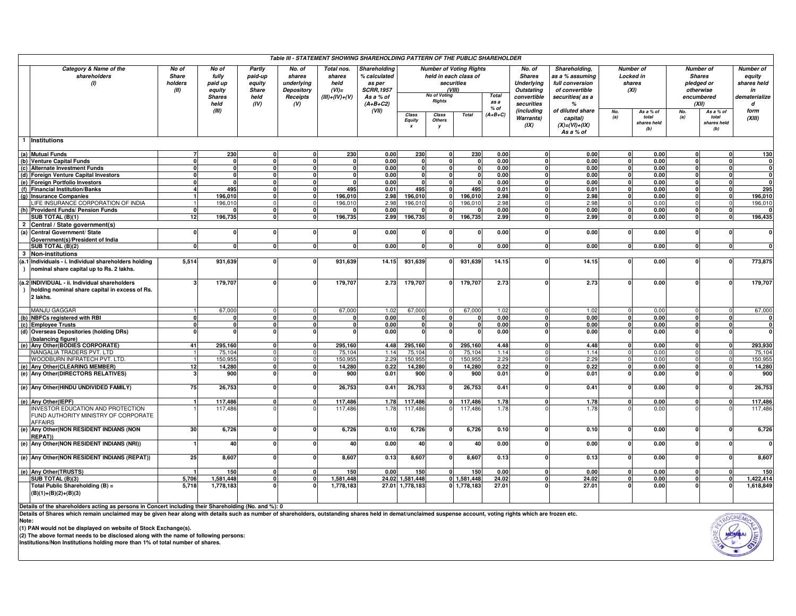|           |                                                                                                   |                                          |                                                      |                                                     |                                                          | Table III - STATEMENT SHOWING SHAREHOLDING PATTERN OF THE PUBLIC SHAREHOLDER |                                                                          |                 |                     |                                                                                 |                     |                                                                           |                                                                                          |                |                                                 |                                                                            |                             |                                                                  |
|-----------|---------------------------------------------------------------------------------------------------|------------------------------------------|------------------------------------------------------|-----------------------------------------------------|----------------------------------------------------------|------------------------------------------------------------------------------|--------------------------------------------------------------------------|-----------------|---------------------|---------------------------------------------------------------------------------|---------------------|---------------------------------------------------------------------------|------------------------------------------------------------------------------------------|----------------|-------------------------------------------------|----------------------------------------------------------------------------|-----------------------------|------------------------------------------------------------------|
|           | Category & Name of the<br>shareholders<br>(1)                                                     | No of<br><b>Share</b><br>holders<br>(II) | No of<br>fully<br>paid up<br>equity<br><b>Shares</b> | Partly<br>paid-up<br>equity<br><b>Share</b><br>held | No. of<br>shares<br>underlying<br>Depository<br>Receipts | Total nos.<br>shares<br>held<br>$(VI)=$<br>$(III)+(IV)+(V)$                  | Shareholding<br>% calculated<br>as per<br><b>SCRR, 1957</b><br>As a % of |                 | <b>No of Voting</b> | <b>Number of Voting Rights</b><br>held in each class of<br>securities<br>(VIII) | <b>Total</b>        | No. of<br><b>Shares</b><br><b>Underlying</b><br>Outstating<br>convertible | Shareholding,<br>as a % assuming<br>full conversion<br>of convertible<br>securities(as a |                | Number of<br><b>Locked in</b><br>shares<br>(XI) | <b>Number</b> of<br><b>Shares</b><br>pledged or<br>otherwise<br>encumbered |                             | <b>Number of</b><br>equity<br>shares held<br>in<br>dematerialize |
|           |                                                                                                   |                                          | held                                                 | (IV)                                                | (V)                                                      |                                                                              | $(A+B+C2)$                                                               |                 | <b>Rights</b>       |                                                                                 | as a                | securities                                                                | $\frac{9}{6}$                                                                            |                |                                                 | (XII)                                                                      |                             | d                                                                |
|           |                                                                                                   |                                          | (III)                                                |                                                     |                                                          |                                                                              | (VII)                                                                    | Class           | Class               | <b>Total</b>                                                                    | $%$ of<br>$(A+B+C)$ | (including                                                                | of diluted share                                                                         | No.            | As a % of                                       | No.                                                                        | As a % of                   | form                                                             |
|           |                                                                                                   |                                          |                                                      |                                                     |                                                          |                                                                              |                                                                          | Equity          | Others<br><b>v</b>  |                                                                                 |                     | Warrants)<br>(IX)                                                         | capital)<br>$(X) = (VI) + (IX)$<br>As a % of                                             | (a)            | total<br>shares held<br>(b)                     | (a)                                                                        | total<br>shares held<br>(b) | (XIII)                                                           |
|           | <b>Institutions</b>                                                                               |                                          |                                                      |                                                     |                                                          |                                                                              |                                                                          |                 |                     |                                                                                 |                     |                                                                           |                                                                                          |                |                                                 |                                                                            |                             |                                                                  |
|           | (a) Mutual Funds                                                                                  |                                          | 230                                                  |                                                     |                                                          | 230                                                                          | 0.00                                                                     | 230             |                     | 230                                                                             | 0.00                | $\mathbf{0}$                                                              | 0.00                                                                                     | $\mathbf{0}$   | 0.00                                            | O                                                                          | $\mathbf{0}$                | 130                                                              |
|           | (b) Venture Capital Funds                                                                         | n                                        | $\Omega$                                             | $\Omega$                                            |                                                          | $\mathbf{o}$                                                                 | 0.00                                                                     | $\Omega$        | 0                   |                                                                                 | 0.00                | $\mathbf{0}$                                                              | 0.00                                                                                     | $\mathbf{0}$   | 0.00                                            | $\Omega$                                                                   | $\mathbf{0}$                | $\mathbf{0}$                                                     |
|           | (c) Alternate Investment Funds                                                                    | $\Omega$                                 | $\Omega$                                             | $\Omega$                                            | Û                                                        | o                                                                            | 0.00                                                                     | $\mathbf{0}$    | $\Omega$            | $\Omega$                                                                        | 0.00                | $\Omega$                                                                  | 0.00                                                                                     | $\mathbf{0}$   | 0.00                                            | $\Omega$                                                                   | $\mathbf{0}$                | 0                                                                |
|           | (d) Foreign Venture Capital Investors                                                             | n                                        |                                                      | U                                                   |                                                          | $\Omega$                                                                     | 0.00                                                                     | $\Omega$        | $\mathbf{0}$        |                                                                                 | 0.00                | $\Omega$                                                                  | 0.00                                                                                     | $\mathbf{0}$   | 0.00                                            | $\Omega$                                                                   | $\mathbf{0}$                | $\mathbf{0}$                                                     |
|           | (e) Foreign Portfolio Investors                                                                   |                                          | $\Omega$                                             |                                                     |                                                          | $\Omega$                                                                     | 0.00                                                                     | $\Omega$        |                     |                                                                                 | 0.00                | $\Omega$                                                                  | 0.00                                                                                     | $\overline{0}$ | 0.00                                            | $\Omega$                                                                   | $\mathbf{0}$                | $\overline{\mathbf{0}}$                                          |
| (f)       | <b>Financial Institution/Banks</b>                                                                | $\Delta$                                 | 495                                                  | n١                                                  |                                                          | 495                                                                          | 0.01                                                                     | 495             |                     | 495                                                                             | 0.01                | $\Omega$                                                                  | 0.01                                                                                     | $\mathbf{0}$   | 0.00                                            | $\Omega$                                                                   | $\mathbf{0}$                | 295                                                              |
|           | (g) Insurance Companies                                                                           |                                          | 196.010                                              | n                                                   |                                                          | 196.010                                                                      | 2.98                                                                     | 196.010         | $\Omega$            | 196,010                                                                         | 2.98                | $\Omega$                                                                  | 2.98                                                                                     | $\mathbf{0}$   | 0.00                                            | $\Omega$                                                                   | $\mathbf{0}$                | 196.010                                                          |
|           | LIFE INSURANCE CORPORATION OF INDIA                                                               |                                          | 196,010                                              |                                                     |                                                          | 196,010                                                                      | 2.98                                                                     | 196,010         |                     | 196,010                                                                         | 2.98                | $\Omega$                                                                  | 2.98                                                                                     | $\Omega$       | 0.00                                            | $\Omega$                                                                   | $\Omega$                    | 196,010                                                          |
|           | (h) Provident Funds/ Pension Funds                                                                | $\Omega$                                 |                                                      | n١                                                  |                                                          | $\Omega$                                                                     | 0.00                                                                     |                 |                     |                                                                                 | 0.00                | $\Omega$                                                                  | 0.00                                                                                     | $\mathbf{0}$   | 0.00                                            | $\Omega$                                                                   | $\mathbf{0}$                | $\Omega$                                                         |
|           | SUB TOTAL (B)(1)                                                                                  | 12                                       | 196.735                                              | <sup>o</sup>                                        |                                                          | 196,735                                                                      | 2.99                                                                     | 196.735         | 0                   | 196.735                                                                         | 2.99                | $\mathbf{0}$                                                              | 2.99                                                                                     | $\mathbf{0}$   | 0.00                                            |                                                                            | $\mathbf{0}$                | 196,435                                                          |
|           | 2 Central / State government(s)                                                                   |                                          |                                                      |                                                     |                                                          |                                                                              |                                                                          |                 |                     |                                                                                 |                     |                                                                           |                                                                                          |                |                                                 |                                                                            |                             |                                                                  |
|           | (a) Central Government/ State                                                                     | $\Omega$                                 | ŋ                                                    | 0                                                   |                                                          | $\Omega$                                                                     | 0.00                                                                     | $\Omega$        |                     |                                                                                 | 0.00                | $\Omega$                                                                  | 0.00                                                                                     | $\mathbf{0}$   | 0.00                                            | $\Omega$                                                                   | $\mathbf{0}$                | $\mathbf{0}$                                                     |
|           | Government(s)/President of India                                                                  |                                          |                                                      |                                                     |                                                          |                                                                              |                                                                          |                 |                     |                                                                                 |                     |                                                                           |                                                                                          |                |                                                 |                                                                            |                             |                                                                  |
|           | SUB TOTAL (B)(2)                                                                                  |                                          | n                                                    |                                                     |                                                          | $\Omega$                                                                     | 0.00                                                                     | $\mathbf{0}$    |                     |                                                                                 | 0.00                | $\mathbf 0$                                                               | 0.00                                                                                     | $\mathbf{0}$   | 0.00                                            | $\Omega$                                                                   | $\mathbf{0}$                | $\mathbf{0}$                                                     |
| 3         | <b>Non-institutions</b>                                                                           |                                          |                                                      |                                                     |                                                          |                                                                              |                                                                          |                 |                     |                                                                                 |                     |                                                                           |                                                                                          |                |                                                 |                                                                            |                             |                                                                  |
| $\lambda$ | (a.1 Individuals - i. Individual shareholders holding<br>nominal share capital up to Rs. 2 lakhs. | 5,514                                    | 931,639                                              |                                                     |                                                          | 931,639                                                                      | 14.15                                                                    | 931,639         | $\Omega$            | 931,639                                                                         | 14.15               | $\Omega$                                                                  | 14.15                                                                                    | $\mathbf{0}$   | 0.00                                            |                                                                            | $\mathbf{0}$                | 773,875                                                          |
|           | (a.2 INDIVIDUAL - ii. Individual shareholders                                                     |                                          | 179,707                                              |                                                     |                                                          | 179,707                                                                      | 2.73                                                                     | 179,707         |                     | 179,707                                                                         | 2.73                |                                                                           | 2.73                                                                                     |                | 0.00                                            |                                                                            |                             | 179,707                                                          |
|           | holding nominal share capital in excess of Rs.<br>2 lakhs.                                        |                                          |                                                      |                                                     |                                                          |                                                                              |                                                                          |                 |                     |                                                                                 |                     |                                                                           |                                                                                          |                |                                                 |                                                                            |                             |                                                                  |
|           | MANJU GAGGAR                                                                                      |                                          | 67,000                                               |                                                     |                                                          | 67,000                                                                       | 1.02                                                                     | 67,000          |                     | 67,000                                                                          | 1.02                | $\Omega$                                                                  | 1.02                                                                                     |                | 0.00                                            |                                                                            |                             | 67,000                                                           |
|           | (b) NBFCs registered with RBI                                                                     |                                          | ŋ                                                    |                                                     |                                                          | $\Omega$                                                                     | 0.00                                                                     |                 | $\Omega$            |                                                                                 | 0.00                | $\Omega$                                                                  | 0.00                                                                                     | $\mathbf{0}$   | 0.00                                            | $\Omega$                                                                   | $\mathbf{0}$                | 0                                                                |
|           | (c) Employee Trusts                                                                               |                                          |                                                      |                                                     |                                                          |                                                                              | 0.00                                                                     |                 |                     |                                                                                 | 0.00                | 0                                                                         | 0.00                                                                                     | $\mathbf{0}$   | 0.00                                            |                                                                            | $\mathbf{0}$                | $\overline{0}$                                                   |
|           | (d) Overseas Depositories (holding DRs)<br>(balancing figure)                                     |                                          |                                                      |                                                     |                                                          |                                                                              | 0.00                                                                     |                 |                     |                                                                                 | 0.00                | $\Omega$                                                                  | 0.00                                                                                     | $\mathbf{0}$   | 0.00                                            |                                                                            | $\mathbf{0}$                | $\overline{0}$                                                   |
|           | (e) Any Other(BODIES CORPORATE)                                                                   | 41                                       | 295.160                                              |                                                     |                                                          | 295.160                                                                      | 4.48                                                                     | 295.160         |                     | 295.160                                                                         | 4.48                | $\Omega$                                                                  | 4.48                                                                                     | $\Omega$       | 0.00                                            |                                                                            | $\Omega$                    | 293,930                                                          |
|           | NANGALIA TRADERS PVT. LTD                                                                         |                                          | 75,104                                               |                                                     |                                                          | 75,104                                                                       | 1.14                                                                     | 75,104          |                     | 75,104                                                                          | 1.14                | $\Omega$                                                                  | 1.14                                                                                     | $\Omega$       | 0.00                                            |                                                                            | $\Omega$                    | 75,104                                                           |
|           | WOODBURN INFRATECH PVT. LTD.                                                                      |                                          | 150,955                                              | $\Omega$                                            |                                                          | 150,955                                                                      | 2.29                                                                     | 150,955         |                     | 150,955                                                                         | 2.29                | $\Omega$                                                                  | 2.29                                                                                     | $\Omega$       | 0.00                                            | $\Omega$                                                                   | $\Omega$                    | 150,955                                                          |
|           | (e) Any Other (CLEARING MEMBER)                                                                   | 12                                       | 14,280                                               |                                                     |                                                          | 14,280                                                                       | 0.22                                                                     | 14,280          |                     | 14,280                                                                          | 0.22                | $\Omega$                                                                  | 0.22                                                                                     | $\mathbf{0}$   | 0.00                                            |                                                                            | $\mathbf{0}$                | 14,280                                                           |
|           | (e) Any Other (DIRECTORS RELATIVES)                                                               |                                          | 900                                                  |                                                     |                                                          | 900                                                                          | 0.01                                                                     | 900             |                     | 900                                                                             | 0.01                | $\mathbf{0}$                                                              | 0.01                                                                                     | $\mathbf{0}$   | 0.00                                            |                                                                            | $\mathbf{0}$                | 900                                                              |
|           | (e) Any Other (HINDU UNDIVIDED FAMILY)                                                            | 75                                       | 26,753                                               |                                                     |                                                          | 26,753                                                                       | 0.41                                                                     | 26,753          |                     | 26,753                                                                          | 0.41                | <sup>0</sup>                                                              | 0.41                                                                                     | $\Omega$       | 0.00                                            |                                                                            | $\Omega$                    | 26,753                                                           |
|           | (e) Any Other(IEPF)                                                                               |                                          | 117,486                                              |                                                     |                                                          | 117,486                                                                      | 1.78                                                                     | 117,486         |                     | 117,486                                                                         | 1.78                | $\Omega$                                                                  | 1.78                                                                                     | $\mathbf{0}$   | 0.00                                            | $\Omega$                                                                   | $\mathbf{0}$                | 117,486                                                          |
|           | <b>INVESTOR EDUCATION AND PROTECTION</b><br>FUND AUTHORITY MINISTRY OF CORPORATE                  |                                          | 117,486                                              |                                                     |                                                          | 117,486                                                                      | 1.78                                                                     | 117,486         |                     | 117,486                                                                         | 1.78                |                                                                           | 1.78                                                                                     |                | 0.00                                            |                                                                            |                             | 117,486                                                          |
|           | <b>AFFAIRS</b><br>(e) Any Other (NON RESIDENT INDIANS (NON<br><b>REPAT)</b>                       | 30 <sup>1</sup>                          | 6,726                                                | n١                                                  |                                                          | 6,726                                                                        | 0.10                                                                     | 6,726           |                     | 6,726                                                                           | 0.10                | $\Omega$                                                                  | 0.10                                                                                     | $\Omega$       | 0.00                                            |                                                                            | $\Omega$                    | 6,726                                                            |
|           | (e) Any Other (NON RESIDENT INDIANS (NRI))                                                        |                                          | 40                                                   |                                                     |                                                          | 40                                                                           | 0.00                                                                     | 40              |                     | 40                                                                              | 0.00                | $\Omega$                                                                  | 0.00                                                                                     | $\Omega$       | 0.00                                            |                                                                            | $\Omega$                    | $\mathbf 0$                                                      |
|           | (e) Any Other (NON RESIDENT INDIANS (REPAT))                                                      | 25                                       | 8,607                                                |                                                     |                                                          | 8,607                                                                        | 0.13                                                                     | 8,607           |                     | 8,607                                                                           | 0.13                | $\mathbf{0}$                                                              | 0.13                                                                                     | $\mathbf{0}$   | 0.00                                            |                                                                            | $\mathbf{0}$                | 8,607                                                            |
|           | (e) Any Other(TRUSTS)                                                                             |                                          | 150                                                  | <sup>o</sup>                                        |                                                          | 150                                                                          | 0.00                                                                     | 150             |                     | 150                                                                             | 0.00                | $\Omega$                                                                  | 0.00                                                                                     | $\Omega$       | 0.00                                            |                                                                            | $\mathbf{0}$                | 150                                                              |
|           | SUB TOTAL (B)(3)                                                                                  | 5.706                                    | 1,581,448                                            | n١                                                  |                                                          | 1,581,448                                                                    |                                                                          | 24.02 1.581.448 |                     | 0 1.581.448                                                                     | 24.02               | 0                                                                         | 24.02                                                                                    | $\mathbf{0}$   | 0.00                                            |                                                                            | $\mathbf{0}$                | 1,422,414                                                        |
|           | Total Public Shareholding (B) =<br>$(B)(1)+(B)(2)+(B)(3)$                                         | 5,718                                    | 1,778,183                                            |                                                     |                                                          | 1,778,183                                                                    |                                                                          | 27.01 1,778,183 |                     | 0 1,778,183                                                                     | 27.01               |                                                                           | 27.01                                                                                    |                | 0.00                                            |                                                                            |                             | 1,618,849                                                        |

Details of the shareholders acting as persons in Concert including their Shareholding (No. and %): 0<br>Details of Shares which remain unclaimed may be given hear along with details such as number of shareholders, outstandin

(1) PAN would not be displayed on website of Stock Exchange(s).<br>(2) The above format needs to be disclosed along with the name of following persons:<br>Institutions/Non Institutions holding more than 1% of total number of sha